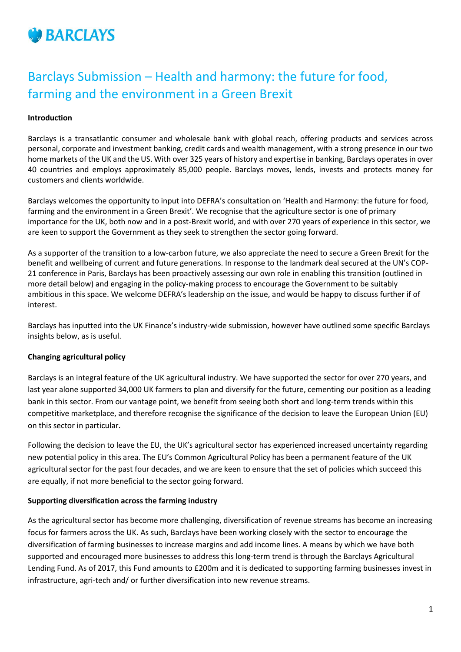

# Barclays Submission – Health and harmony: the future for food, farming and the environment in a Green Brexit

### **Introduction**

Barclays is a transatlantic consumer and wholesale bank with global reach, offering products and services across personal, corporate and investment banking, credit cards and wealth management, with a strong presence in our two home markets of the UK and the US. With over 325 years of history and expertise in banking, Barclays operates in over 40 countries and employs approximately 85,000 people. Barclays moves, lends, invests and protects money for customers and clients worldwide.

Barclays welcomes the opportunity to input into DEFRA's consultation on 'Health and Harmony: the future for food, farming and the environment in a Green Brexit'. We recognise that the agriculture sector is one of primary importance for the UK, both now and in a post-Brexit world, and with over 270 years of experience in this sector, we are keen to support the Government as they seek to strengthen the sector going forward.

As a supporter of the transition to a low-carbon future, we also appreciate the need to secure a Green Brexit for the benefit and wellbeing of current and future generations. In response to the landmark deal secured at the UN's COP-21 conference in Paris, Barclays has been proactively assessing our own role in enabling this transition (outlined in more detail below) and engaging in the policy-making process to encourage the Government to be suitably ambitious in this space. We welcome DEFRA's leadership on the issue, and would be happy to discuss further if of interest.

Barclays has inputted into the UK Finance's industry-wide submission, however have outlined some specific Barclays insights below, as is useful.

#### **Changing agricultural policy**

Barclays is an integral feature of the UK agricultural industry. We have supported the sector for over 270 years, and last year alone supported 34,000 UK farmers to plan and diversify for the future, cementing our position as a leading bank in this sector. From our vantage point, we benefit from seeing both short and long-term trends within this competitive marketplace, and therefore recognise the significance of the decision to leave the European Union (EU) on this sector in particular.

Following the decision to leave the EU, the UK's agricultural sector has experienced increased uncertainty regarding new potential policy in this area. The EU's Common Agricultural Policy has been a permanent feature of the UK agricultural sector for the past four decades, and we are keen to ensure that the set of policies which succeed this are equally, if not more beneficial to the sector going forward.

#### **Supporting diversification across the farming industry**

As the agricultural sector has become more challenging, diversification of revenue streams has become an increasing focus for farmers across the UK. As such, Barclays have been working closely with the sector to encourage the diversification of farming businesses to increase margins and add income lines. A means by which we have both supported and encouraged more businesses to address this long-term trend is through the Barclays Agricultural Lending Fund. As of 2017, this Fund amounts to £200m and it is dedicated to supporting farming businesses invest in infrastructure, agri-tech and/ or further diversification into new revenue streams.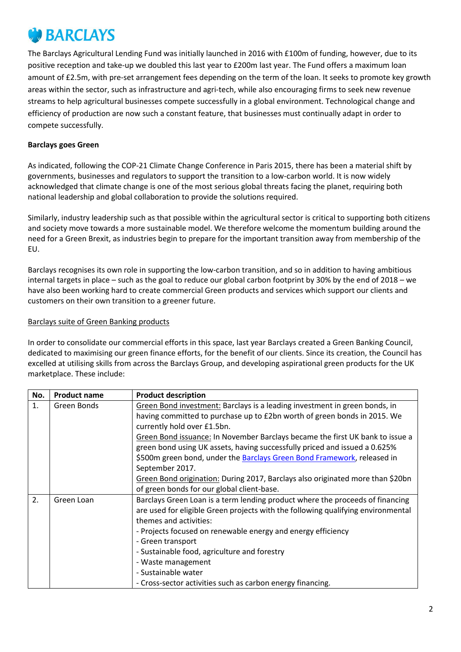# **BARCLAYS**

The Barclays Agricultural Lending Fund was initially launched in 2016 with £100m of funding, however, due to its positive reception and take-up we doubled this last year to £200m last year. The Fund offers a maximum loan amount of £2.5m, with pre-set arrangement fees depending on the term of the loan. It seeks to promote key growth areas within the sector, such as infrastructure and agri-tech, while also encouraging firms to seek new revenue streams to help agricultural businesses compete successfully in a global environment. Technological change and efficiency of production are now such a constant feature, that businesses must continually adapt in order to compete successfully.

# **Barclays goes Green**

As indicated, following the COP-21 Climate Change Conference in Paris 2015, there has been a material shift by governments, businesses and regulators to support the transition to a low-carbon world. It is now widely acknowledged that climate change is one of the most serious global threats facing the planet, requiring both national leadership and global collaboration to provide the solutions required.

Similarly, industry leadership such as that possible within the agricultural sector is critical to supporting both citizens and society move towards a more sustainable model. We therefore welcome the momentum building around the need for a Green Brexit, as industries begin to prepare for the important transition away from membership of the EU.

Barclays recognises its own role in supporting the low-carbon transition, and so in addition to having ambitious internal targets in place – such as the goal to reduce our global carbon footprint by 30% by the end of 2018 – we have also been working hard to create commercial Green products and services which support our clients and customers on their own transition to a greener future.

# Barclays suite of Green Banking products

In order to consolidate our commercial efforts in this space, last year Barclays created a Green Banking Council, dedicated to maximising our green finance efforts, for the benefit of our clients. Since its creation, the Council has excelled at utilising skills from across the Barclays Group, and developing aspirational green products for the UK marketplace. These include:

| No.               | <b>Product name</b> | <b>Product description</b>                                                       |
|-------------------|---------------------|----------------------------------------------------------------------------------|
| 1.<br>Green Bonds |                     | Green Bond investment: Barclays is a leading investment in green bonds, in       |
|                   |                     | having committed to purchase up to £2bn worth of green bonds in 2015. We         |
|                   |                     | currently hold over £1.5bn.                                                      |
|                   |                     | Green Bond issuance: In November Barclays became the first UK bank to issue a    |
|                   |                     | green bond using UK assets, having successfully priced and issued a 0.625%       |
|                   |                     | \$500m green bond, under the Barclays Green Bond Framework, released in          |
|                   |                     | September 2017.                                                                  |
|                   |                     | Green Bond origination: During 2017, Barclays also originated more than \$20bn   |
|                   |                     | of green bonds for our global client-base.                                       |
| 2.                | Green Loan          | Barclays Green Loan is a term lending product where the proceeds of financing    |
|                   |                     | are used for eligible Green projects with the following qualifying environmental |
|                   |                     | themes and activities:                                                           |
|                   |                     | - Projects focused on renewable energy and energy efficiency                     |
|                   |                     | - Green transport                                                                |
|                   |                     | - Sustainable food, agriculture and forestry                                     |
|                   |                     | - Waste management                                                               |
|                   |                     | - Sustainable water                                                              |
|                   |                     | - Cross-sector activities such as carbon energy financing.                       |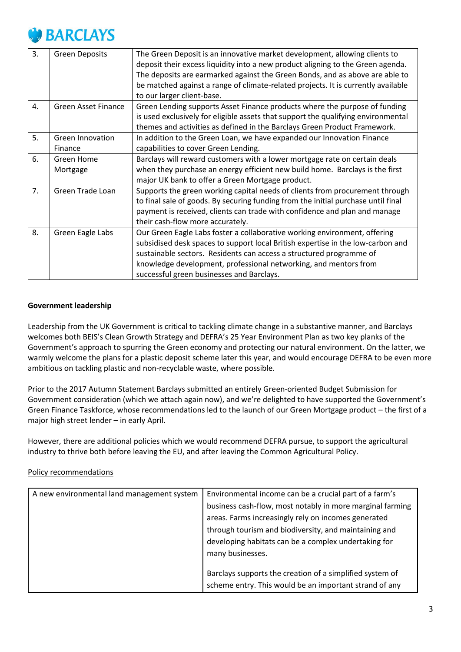

| 3. | <b>Green Deposits</b>       | The Green Deposit is an innovative market development, allowing clients to<br>deposit their excess liquidity into a new product aligning to the Green agenda.<br>The deposits are earmarked against the Green Bonds, and as above are able to<br>be matched against a range of climate-related projects. It is currently available<br>to our larger client-base. |
|----|-----------------------------|------------------------------------------------------------------------------------------------------------------------------------------------------------------------------------------------------------------------------------------------------------------------------------------------------------------------------------------------------------------|
| 4. | <b>Green Asset Finance</b>  | Green Lending supports Asset Finance products where the purpose of funding<br>is used exclusively for eligible assets that support the qualifying environmental<br>themes and activities as defined in the Barclays Green Product Framework.                                                                                                                     |
| 5. | Green Innovation<br>Finance | In addition to the Green Loan, we have expanded our Innovation Finance<br>capabilities to cover Green Lending.                                                                                                                                                                                                                                                   |
| 6. | Green Home<br>Mortgage      | Barclays will reward customers with a lower mortgage rate on certain deals<br>when they purchase an energy efficient new build home. Barclays is the first<br>major UK bank to offer a Green Mortgage product.                                                                                                                                                   |
| 7. | Green Trade Loan            | Supports the green working capital needs of clients from procurement through<br>to final sale of goods. By securing funding from the initial purchase until final<br>payment is received, clients can trade with confidence and plan and manage<br>their cash-flow more accurately.                                                                              |
| 8. | Green Eagle Labs            | Our Green Eagle Labs foster a collaborative working environment, offering<br>subsidised desk spaces to support local British expertise in the low-carbon and<br>sustainable sectors. Residents can access a structured programme of<br>knowledge development, professional networking, and mentors from<br>successful green businesses and Barclays.             |

### **Government leadership**

Leadership from the UK Government is critical to tackling climate change in a substantive manner, and Barclays welcomes both BEIS's Clean Growth Strategy and DEFRA's 25 Year Environment Plan as two key planks of the Government's approach to spurring the Green economy and protecting our natural environment. On the latter, we warmly welcome the plans for a plastic deposit scheme later this year, and would encourage DEFRA to be even more ambitious on tackling plastic and non-recyclable waste, where possible.

Prior to the 2017 Autumn Statement Barclays submitted an entirely Green-oriented Budget Submission for Government consideration (which we attach again now), and we're delighted to have supported the Government's Green Finance Taskforce, whose recommendations led to the launch of our Green Mortgage product – the first of a major high street lender – in early April.

However, there are additional policies which we would recommend DEFRA pursue, to support the agricultural industry to thrive both before leaving the EU, and after leaving the Common Agricultural Policy.

#### Policy recommendations

| A new environmental land management system | Environmental income can be a crucial part of a farm's    |
|--------------------------------------------|-----------------------------------------------------------|
|                                            | business cash-flow, most notably in more marginal farming |
|                                            | areas. Farms increasingly rely on incomes generated       |
|                                            | through tourism and biodiversity, and maintaining and     |
|                                            | developing habitats can be a complex undertaking for      |
|                                            | many businesses.                                          |
|                                            |                                                           |
|                                            | Barclays supports the creation of a simplified system of  |
|                                            | scheme entry. This would be an important strand of any    |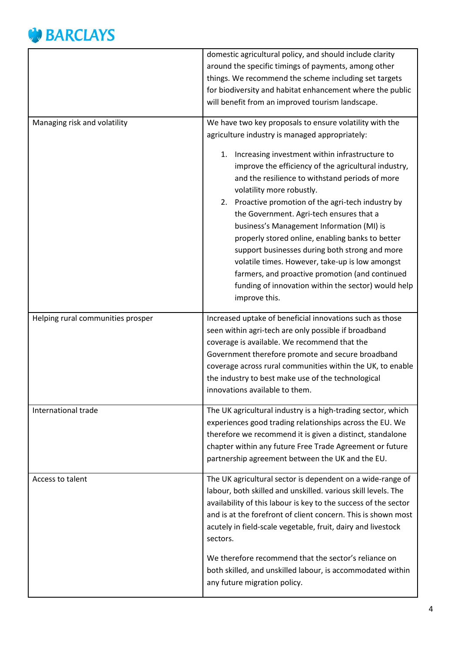# **BARCLAYS**

|                                   | domestic agricultural policy, and should include clarity<br>around the specific timings of payments, among other<br>things. We recommend the scheme including set targets                                                                                                                                                                                                                                                                                                                                                                                                                                                                                                                                                                     |
|-----------------------------------|-----------------------------------------------------------------------------------------------------------------------------------------------------------------------------------------------------------------------------------------------------------------------------------------------------------------------------------------------------------------------------------------------------------------------------------------------------------------------------------------------------------------------------------------------------------------------------------------------------------------------------------------------------------------------------------------------------------------------------------------------|
|                                   | for biodiversity and habitat enhancement where the public<br>will benefit from an improved tourism landscape.                                                                                                                                                                                                                                                                                                                                                                                                                                                                                                                                                                                                                                 |
| Managing risk and volatility      | We have two key proposals to ensure volatility with the<br>agriculture industry is managed appropriately:<br>Increasing investment within infrastructure to<br>1.<br>improve the efficiency of the agricultural industry,<br>and the resilience to withstand periods of more<br>volatility more robustly.<br>2. Proactive promotion of the agri-tech industry by<br>the Government. Agri-tech ensures that a<br>business's Management Information (MI) is<br>properly stored online, enabling banks to better<br>support businesses during both strong and more<br>volatile times. However, take-up is low amongst<br>farmers, and proactive promotion (and continued<br>funding of innovation within the sector) would help<br>improve this. |
| Helping rural communities prosper | Increased uptake of beneficial innovations such as those<br>seen within agri-tech are only possible if broadband<br>coverage is available. We recommend that the<br>Government therefore promote and secure broadband<br>coverage across rural communities within the UK, to enable<br>the industry to best make use of the technological<br>innovations available to them.                                                                                                                                                                                                                                                                                                                                                                   |
| International trade               | The UK agricultural industry is a high-trading sector, which<br>experiences good trading relationships across the EU. We<br>therefore we recommend it is given a distinct, standalone<br>chapter within any future Free Trade Agreement or future<br>partnership agreement between the UK and the EU.                                                                                                                                                                                                                                                                                                                                                                                                                                         |
| Access to talent                  | The UK agricultural sector is dependent on a wide-range of<br>labour, both skilled and unskilled. various skill levels. The<br>availability of this labour is key to the success of the sector<br>and is at the forefront of client concern. This is shown most<br>acutely in field-scale vegetable, fruit, dairy and livestock<br>sectors.<br>We therefore recommend that the sector's reliance on<br>both skilled, and unskilled labour, is accommodated within<br>any future migration policy.                                                                                                                                                                                                                                             |